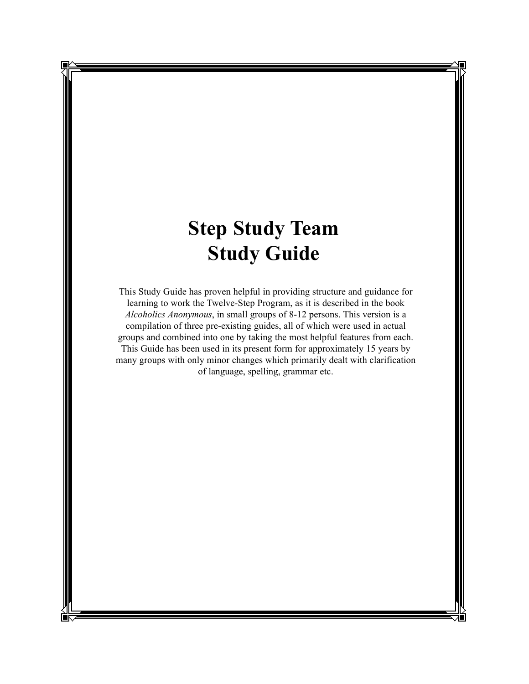# **Step Study Team Study Guide**

This Study Guide has proven helpful in providing structure and guidance for learning to work the Twelve-Step Program, as it is described in the book *Alcoholics Anonymous*, in small groups of 8-12 persons. This version is a compilation of three pre-existing guides, all of which were used in actual groups and combined into one by taking the most helpful features from each. This Guide has been used in its present form for approximately 15 years by many groups with only minor changes which primarily dealt with clarification of language, spelling, grammar etc.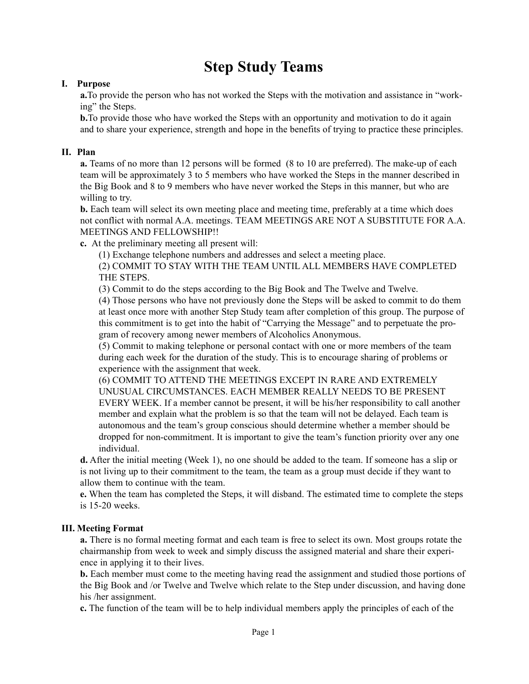# **Step Study Teams**

### **I. Purpose**

**a.**To provide the person who has not worked the Steps with the motivation and assistance in "working" the Steps.

**b.** To provide those who have worked the Steps with an opportunity and motivation to do it again and to share your experience, strength and hope in the benefits of trying to practice these principles.

#### **II. Plan**

**a.** Teams of no more than 12 persons will be formed (8 to 10 are preferred). The make-up of each team will be approximately 3 to 5 members who have worked the Steps in the manner described in the Big Book and 8 to 9 members who have never worked the Steps in this manner, but who are willing to try.

**b.** Each team will select its own meeting place and meeting time, preferably at a time which does not conflict with normal A.A. meetings. TEAM MEETINGS ARE NOT A SUBSTITUTE FOR A.A. MEETINGS AND FELLOWSHIP!!

**c.** At the preliminary meeting all present will:

(1) Exchange telephone numbers and addresses and select a meeting place.

(2) COMMIT TO STAY WITH THE TEAM UNTIL ALL MEMBERS HAVE COMPLETED THE STEPS.

(3) Commit to do the steps according to the Big Book and The Twelve and Twelve.

(4) Those persons who have not previously done the Steps will be asked to commit to do them at least once more with another Step Study team after completion of this group. The purpose of this commitment is to get into the habit of "Carrying the Message" and to perpetuate the program of recovery among newer members of Alcoholics Anonymous.

(5) Commit to making telephone or personal contact with one or more members of the team during each week for the duration of the study. This is to encourage sharing of problems or experience with the assignment that week.

(6) COMMIT TO ATTEND THE MEETINGS EXCEPT IN RARE AND EXTREMELY UNUSUAL CIRCUMSTANCES. EACH MEMBER REALLY NEEDS TO BE PRESENT EVERY WEEK. If a member cannot be present, it will be his/her responsibility to call another member and explain what the problem is so that the team will not be delayed. Each team is autonomous and the team's group conscious should determine whether a member should be dropped for non-commitment. It is important to give the team's function priority over any one individual.

**d.** After the initial meeting (Week 1), no one should be added to the team. If someone has a slip or is not living up to their commitment to the team, the team as a group must decide if they want to allow them to continue with the team.

**e.** When the team has completed the Steps, it will disband. The estimated time to complete the steps is 15-20 weeks.

### **III. Meeting Format**

**a.** There is no formal meeting format and each team is free to select its own. Most groups rotate the chairmanship from week to week and simply discuss the assigned material and share their experience in applying it to their lives.

**b.** Each member must come to the meeting having read the assignment and studied those portions of the Big Book and /or Twelve and Twelve which relate to the Step under discussion, and having done his /her assignment.

**c.** The function of the team will be to help individual members apply the principles of each of the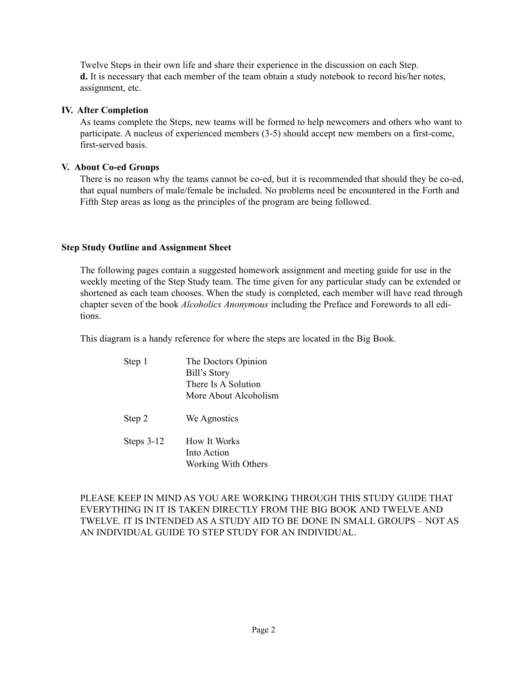Twelve Steps in their own life and share their experience in the discussion on each Step. **d.** It is necessary that each member of the team obtain a study notebook to record his/her notes, assignment, etc.

#### **IV. After Completion**

As teams complete the Steps, new teams will be formed to help newcomers and others who want to participate. A nucleus of experienced members (3-5) should accept new members on a first-come, first-served basis.

#### **V. About Co-ed Groups**

There is no reason why the teams cannot be co-ed, but it is recommended that should they be co-ed, that equal numbers of male/female be included. No problems need be encountered in the Forth and Fifth Step areas as long as the principles of the program are being followed.

#### **Step Study Outline and Assignment Sheet**

The following pages contain a suggested homework assignment and meeting guide for use in the weekly meeting of the Step Study team. The time given for any particular study can be extended or shortened as each team chooses. When the study is completed, each member will have read through chapter seven of the book *Alcoholics Anonymous* including the Preface and Forewords to all editions.

This diagram is a handy reference for where the steps are located in the Big Book.

| Step 1       | The Doctors Opinion<br>Bill's Story<br>There Is A Solution<br>More About Alcoholism |
|--------------|-------------------------------------------------------------------------------------|
| Step 2       | We Agnostics                                                                        |
| Steps $3-12$ | How It Works<br>Into Action<br>Working With Others                                  |

PLEASE KEEP IN MIND AS YOU ARE WORKING THROUGH THIS STUDY GUIDE THAT EVERYTHING IN IT IS TAKEN DIRECTLY FROM THE BIG BOOK AND TWELVE AND TWELVE. IT IS INTENDED AS A STUDY AID TO BE DONE IN SMALL GROUPS – NOT AS AN INDIVIDUAL GUIDE TO STEP STUDY FOR AN INDIVIDUAL.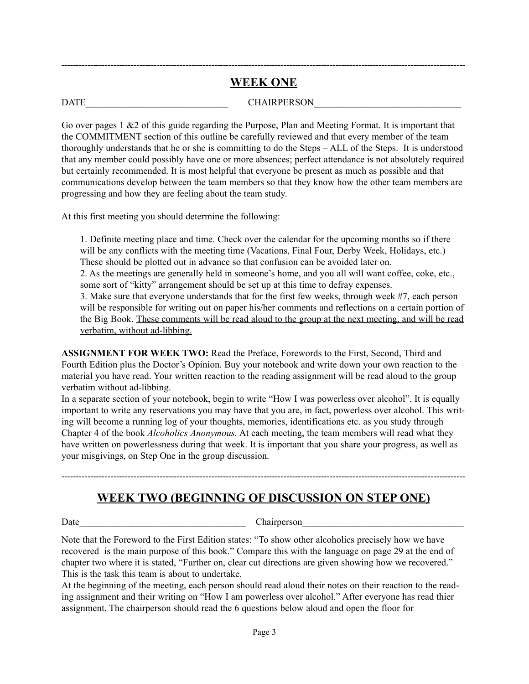# **-------------------------------------------------------------------------------------------------------------------------------------------- WEEK ONE**

DATE GHAIRPERSON

Go over pages 1 &2 of this guide regarding the Purpose, Plan and Meeting Format. It is important that the COMMITMENT section of this outline be carefully reviewed and that every member of the team thoroughly understands that he or she is committing to do the Steps – ALL of the Steps. It is understood that any member could possibly have one or more absences; perfect attendance is not absolutely required but certainly recommended. It is most helpful that everyone be present as much as possible and that communications develop between the team members so that they know how the other team members are progressing and how they are feeling about the team study.

At this first meeting you should determine the following:

1. Definite meeting place and time. Check over the calendar for the upcoming months so if there will be any conflicts with the meeting time (Vacations, Final Four, Derby Week, Holidays, etc.) These should be plotted out in advance so that confusion can be avoided later on.

2. As the meetings are generally held in someone's home, and you all will want coffee, coke, etc., some sort of "kitty" arrangement should be set up at this time to defray expenses.

3. Make sure that everyone understands that for the first few weeks, through week #7, each person will be responsible for writing out on paper his/her comments and reflections on a certain portion of the Big Book. These comments will be read aloud to the group at the next meeting, and will be read verbatim, without ad-libbing.

**ASSIGNMENT FOR WEEK TWO:** Read the Preface, Forewords to the First, Second, Third and Fourth Edition plus the Doctor's Opinion. Buy your notebook and write down your own reaction to the material you have read. Your written reaction to the reading assignment will be read aloud to the group verbatim without ad-libbing.

In a separate section of your notebook, begin to write "How I was powerless over alcohol". It is equally important to write any reservations you may have that you are, in fact, powerless over alcohol. This writing will become a running log of your thoughts, memories, identifications etc. as you study through Chapter 4 of the book *Alcoholics Anonymous*. At each meeting, the team members will read what they have written on powerlessness during that week. It is important that you share your progress, as well as your misgivings, on Step One in the group discussion.

--------------------------------------------------------------------------------------------------------------------------------------------

# **WEEK TWO (BEGINNING OF DISCUSSION ON STEP ONE)**

Date Chairperson

Note that the Foreword to the First Edition states: "To show other alcoholics precisely how we have recovered is the main purpose of this book." Compare this with the language on page 29 at the end of chapter two where it is stated, "Further on, clear cut directions are given showing how we recovered." This is the task this team is about to undertake.

At the beginning of the meeting, each person should read aloud their notes on their reaction to the reading assignment and their writing on "How I am powerless over alcohol." After everyone has read thier assignment, The chairperson should read the 6 questions below aloud and open the floor for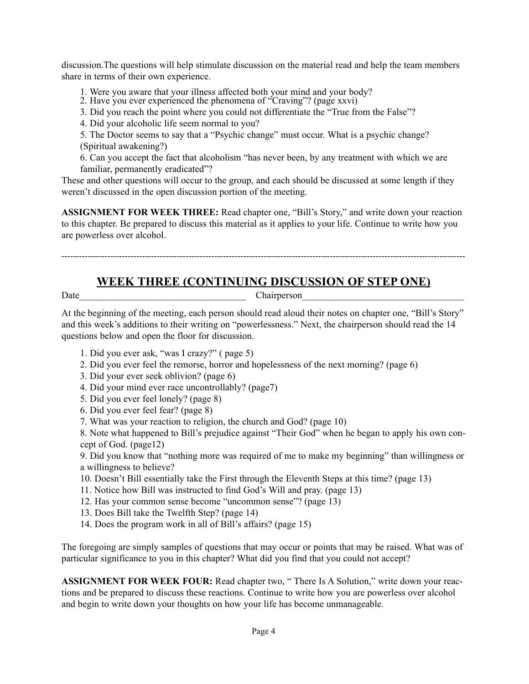discussion.The questions will help stimulate discussion on the material read and help the team members share in terms of their own experience.

1. Were you aware that your illness affected both your mind and your body?

2. Have you ever experienced the phenomena of "Craving"? (page xxvi)

3. Did you reach the point where you could not differentiate the "True from the False"?

4. Did your alcoholic life seem normal to you?

5. The Doctor seems to say that a "Psychic change" must occur. What is a psychic change? (Spiritual awakening?)

6. Can you accept the fact that alcoholism "has never been, by any treatment with which we are familiar, permanently eradicated"?

These and other questions will occur to the group, and each should be discussed at some length if they weren't discussed in the open discussion portion of the meeting.

**ASSIGNMENT FOR WEEK THREE:** Read chapter one, "Bill's Story," and write down your reaction to this chapter. Be prepared to discuss this material as it applies to your life. Continue to write how you are powerless over alcohol.

--------------------------------------------------------------------------------------------------------------------------------------------

# **WEEK THREE (CONTINUING DISCUSSION OF STEP ONE)**

Date Chairperson

At the beginning of the meeting, each person should read aloud their notes on chapter one, "Bill's Story" and this week's additions to their writing on "powerlessness." Next, the chairperson should read the 14 questions below and open the floor for discussion.

- 1. Did you ever ask, "was I crazy?" ( page 5)
- 2. Did you ever feel the remorse, horror and hopelessness of the next morning? (page 6)
- 3. Did your ever seek oblivion? (page 6)
- 4. Did your mind ever race uncontrollably? (page7)
- 5. Did you ever feel lonely? (page 8)
- 6. Did you ever feel fear? (page 8)
- 7. What was your reaction to religion, the church and God? (page 10)

8. Note what happened to Bill's prejudice against "Their God" when he began to apply his own concept of God. (page12)

9. Did you know that "nothing more was required of me to make my beginning" than willingness or a willingness to believe?

- 10. Doesn't Bill essentially take the First through the Eleventh Steps at this time? (page 13)
- 11. Notice how Bill was instructed to find God's Will and pray. (page 13)
- 12. Has your common sense become "uncommon sense"? (page 13)
- 13. Does Bill take the Twelfth Step? (page 14)
- 14. Does the program work in all of Bill's affairs? (page 15)

The foregoing are simply samples of questions that may occur or points that may be raised. What was of particular significance to you in this chapter? What did you find that you could not accept?

**ASSIGNMENT FOR WEEK FOUR:** Read chapter two, " There Is A Solution," write down your reactions and be prepared to discuss these reactions. Continue to write how you are powerless over alcohol and begin to write down your thoughts on how your life has become unmanageable.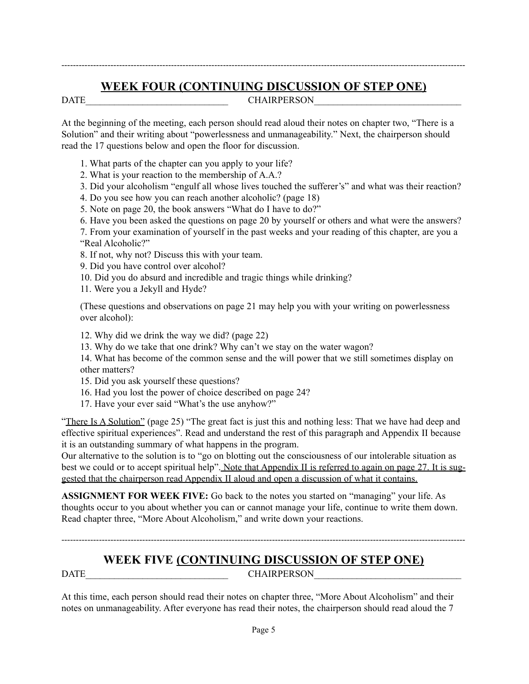# **WEEK FOUR (CONTINUING DISCUSSION OF STEP ONE)**

--------------------------------------------------------------------------------------------------------------------------------------------

DATE CHAIRPERSON

At the beginning of the meeting, each person should read aloud their notes on chapter two, "There is a Solution" and their writing about "powerlessness and unmanageability." Next, the chairperson should read the 17 questions below and open the floor for discussion.

- 1. What parts of the chapter can you apply to your life?
- 2. What is your reaction to the membership of A.A.?
- 3. Did your alcoholism "engulf all whose lives touched the sufferer's" and what was their reaction?
- 4. Do you see how you can reach another alcoholic? (page 18)
- 5. Note on page 20, the book answers "What do I have to do?"
- 6. Have you been asked the questions on page 20 by yourself or others and what were the answers?
- 7. From your examination of yourself in the past weeks and your reading of this chapter, are you a "Real Alcoholic?"
- 8. If not, why not? Discuss this with your team.
- 9. Did you have control over alcohol?
- 10. Did you do absurd and incredible and tragic things while drinking?
- 11. Were you a Jekyll and Hyde?

(These questions and observations on page 21 may help you with your writing on powerlessness over alcohol):

- 12. Why did we drink the way we did? (page 22)
- 13. Why do we take that one drink? Why can't we stay on the water wagon?

14. What has become of the common sense and the will power that we still sometimes display on other matters?

- 15. Did you ask yourself these questions?
- 16. Had you lost the power of choice described on page 24?
- 17. Have your ever said "What's the use anyhow?"

"There Is A Solution" (page 25) "The great fact is just this and nothing less: That we have had deep and effective spiritual experiences". Read and understand the rest of this paragraph and Appendix II because it is an outstanding summary of what happens in the program.

Our alternative to the solution is to "go on blotting out the consciousness of our intolerable situation as best we could or to accept spiritual help". Note that Appendix II is referred to again on page 27. It is suggested that the chairperson read Appendix II aloud and open a discussion of what it contains.

**ASSIGNMENT FOR WEEK FIVE:** Go back to the notes you started on "managing" your life. As thoughts occur to you about whether you can or cannot manage your life, continue to write them down. Read chapter three, "More About Alcoholism," and write down your reactions.

# **WEEK FIVE (CONTINUING DISCUSSION OF STEP ONE)** DATE CHAIRPERSON

--------------------------------------------------------------------------------------------------------------------------------------------

At this time, each person should read their notes on chapter three, "More About Alcoholism" and their notes on unmanageability. After everyone has read their notes, the chairperson should read aloud the 7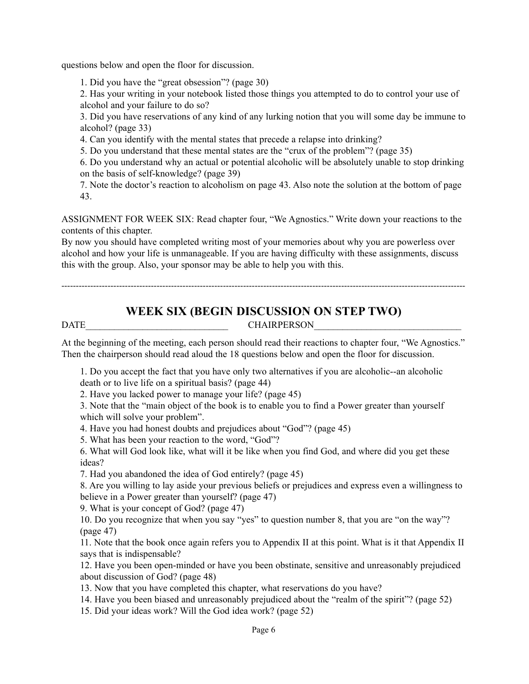questions below and open the floor for discussion.

1. Did you have the "great obsession"? (page 30)

2. Has your writing in your notebook listed those things you attempted to do to control your use of alcohol and your failure to do so?

3. Did you have reservations of any kind of any lurking notion that you will some day be immune to alcohol? (page 33)

4. Can you identify with the mental states that precede a relapse into drinking?

5. Do you understand that these mental states are the "crux of the problem"? (page 35)

6. Do you understand why an actual or potential alcoholic will be absolutely unable to stop drinking on the basis of self-knowledge? (page 39)

7. Note the doctor's reaction to alcoholism on page 43. Also note the solution at the bottom of page 43.

ASSIGNMENT FOR WEEK SIX: Read chapter four, "We Agnostics." Write down your reactions to the contents of this chapter.

By now you should have completed writing most of your memories about why you are powerless over alcohol and how your life is unmanageable. If you are having difficulty with these assignments, discuss this with the group. Also, your sponsor may be able to help you with this.

# **WEEK SIX (BEGIN DISCUSSION ON STEP TWO)**

--------------------------------------------------------------------------------------------------------------------------------------------

DATE CHAIRPERSON

At the beginning of the meeting, each person should read their reactions to chapter four, "We Agnostics." Then the chairperson should read aloud the 18 questions below and open the floor for discussion.

1. Do you accept the fact that you have only two alternatives if you are alcoholic--an alcoholic death or to live life on a spiritual basis? (page 44)

2. Have you lacked power to manage your life? (page 45)

3. Note that the "main object of the book is to enable you to find a Power greater than yourself which will solve your problem".

4. Have you had honest doubts and prejudices about "God"? (page 45)

5. What has been your reaction to the word, "God"?

6. What will God look like, what will it be like when you find God, and where did you get these ideas?

7. Had you abandoned the idea of God entirely? (page 45)

8. Are you willing to lay aside your previous beliefs or prejudices and express even a willingness to believe in a Power greater than yourself? (page 47)

9. What is your concept of God? (page 47)

10. Do you recognize that when you say "yes" to question number 8, that you are "on the way"? (page 47)

11. Note that the book once again refers you to Appendix II at this point. What is it that Appendix II says that is indispensable?

12. Have you been open-minded or have you been obstinate, sensitive and unreasonably prejudiced about discussion of God? (page 48)

13. Now that you have completed this chapter, what reservations do you have?

14. Have you been biased and unreasonably prejudiced about the "realm of the spirit"? (page 52)

15. Did your ideas work? Will the God idea work? (page 52)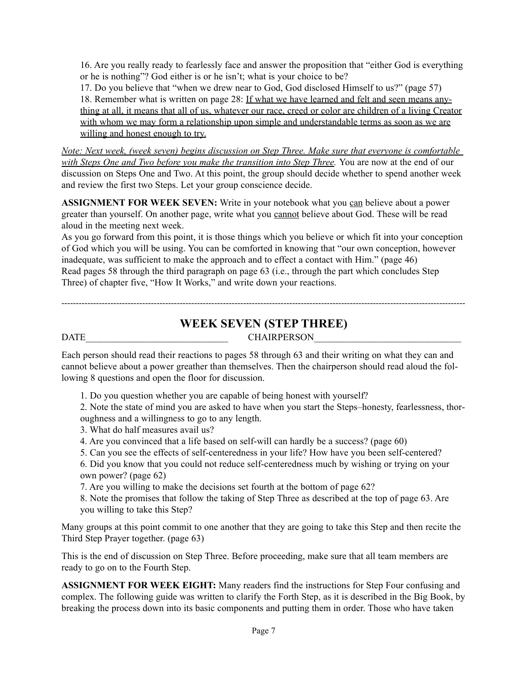16. Are you really ready to fearlessly face and answer the proposition that "either God is everything or he is nothing"? God either is or he isn't; what is your choice to be?

17. Do you believe that "when we drew near to God, God disclosed Himself to us?" (page 57) 18. Remember what is written on page 28: If what we have learned and felt and seen means anything at all, it means that all of us, whatever our race, creed or color are children of a living Creator with whom we may form a relationship upon simple and understandable terms as soon as we are willing and honest enough to try.

*Note: Next week, (week seven) begins discussion on Step Three. Make sure that everyone is comfortable with Steps One and Two before you make the transition into Step Three.* You are now at the end of our discussion on Steps One and Two. At this point, the group should decide whether to spend another week and review the first two Steps. Let your group conscience decide.

ASSIGNMENT FOR WEEK SEVEN: Write in your notebook what you can believe about a power greater than yourself. On another page, write what you cannot believe about God. These will be read aloud in the meeting next week.

As you go forward from this point, it is those things which you believe or which fit into your conception of God which you will be using. You can be comforted in knowing that "our own conception, however inadequate, was sufficient to make the approach and to effect a contact with Him." (page 46) Read pages 58 through the third paragraph on page 63 (i.e., through the part which concludes Step Three) of chapter five, "How It Works," and write down your reactions.

# **WEEK SEVEN (STEP THREE)**

## DATE CHAIRPERSON

 $--\frac{1}{2}$  , we have a set of the set of the set of the set of the set of the set of the set of the set of the set of the set of the set of the set of the set of the set of the set of the set of the set of the set of the

Each person should read their reactions to pages 58 through 63 and their writing on what they can and cannot believe about a power greather than themselves. Then the chairperson should read aloud the following 8 questions and open the floor for discussion.

1. Do you question whether you are capable of being honest with yourself?

2. Note the state of mind you are asked to have when you start the Steps–honesty, fearlessness, thoroughness and a willingness to go to any length.

- 3. What do half measures avail us?
- 4. Are you convinced that a life based on self-will can hardly be a success? (page 60)
- 5. Can you see the effects of self-centeredness in your life? How have you been self-centered?

6. Did you know that you could not reduce self-centeredness much by wishing or trying on your own power? (page 62)

7. Are you willing to make the decisions set fourth at the bottom of page 62?

8. Note the promises that follow the taking of Step Three as described at the top of page 63. Are you willing to take this Step?

Many groups at this point commit to one another that they are going to take this Step and then recite the Third Step Prayer together. (page 63)

This is the end of discussion on Step Three. Before proceeding, make sure that all team members are ready to go on to the Fourth Step.

**ASSIGNMENT FOR WEEK EIGHT:** Many readers find the instructions for Step Four confusing and complex. The following guide was written to clarify the Forth Step, as it is described in the Big Book, by breaking the process down into its basic components and putting them in order. Those who have taken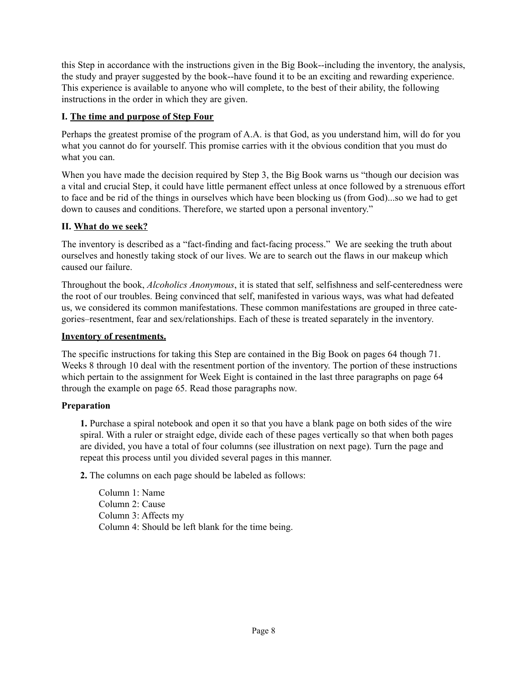this Step in accordance with the instructions given in the Big Book--including the inventory, the analysis, the study and prayer suggested by the book--have found it to be an exciting and rewarding experience. This experience is available to anyone who will complete, to the best of their ability, the following instructions in the order in which they are given.

#### **I. The time and purpose of Step Four**

Perhaps the greatest promise of the program of A.A. is that God, as you understand him, will do for you what you cannot do for yourself. This promise carries with it the obvious condition that you must do what you can.

When you have made the decision required by Step 3, the Big Book warns us "though our decision was a vital and crucial Step, it could have little permanent effect unless at once followed by a strenuous effort to face and be rid of the things in ourselves which have been blocking us (from God)...so we had to get down to causes and conditions. Therefore, we started upon a personal inventory."

#### **II. What do we seek?**

The inventory is described as a "fact-finding and fact-facing process." We are seeking the truth about ourselves and honestly taking stock of our lives. We are to search out the flaws in our makeup which caused our failure.

Throughout the book, *Alcoholics Anonymous*, it is stated that self, selfishness and self-centeredness were the root of our troubles. Being convinced that self, manifested in various ways, was what had defeated us, we considered its common manifestations. These common manifestations are grouped in three categories–resentment, fear and sex/relationships. Each of these is treated separately in the inventory.

#### **Inventory of resentments.**

The specific instructions for taking this Step are contained in the Big Book on pages 64 though 71. Weeks 8 through 10 deal with the resentment portion of the inventory. The portion of these instructions which pertain to the assignment for Week Eight is contained in the last three paragraphs on page 64 through the example on page 65. Read those paragraphs now.

#### **Preparation**

**1.** Purchase a spiral notebook and open it so that you have a blank page on both sides of the wire spiral. With a ruler or straight edge, divide each of these pages vertically so that when both pages are divided, you have a total of four columns (see illustration on next page). Turn the page and repeat this process until you divided several pages in this manner.

**2.** The columns on each page should be labeled as follows:

Column 1: Name Column 2: Cause Column 3: Affects my Column 4: Should be left blank for the time being.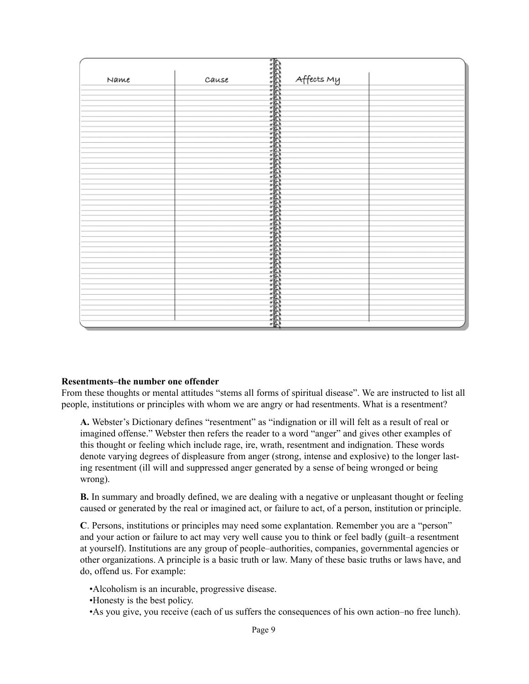|      |       | T.         |
|------|-------|------------|
| Name | Cause | Affects My |
|      |       |            |
|      |       |            |
|      |       |            |
|      |       |            |
|      |       |            |
|      |       |            |
|      |       |            |
|      |       | 法未决决决决     |
|      |       |            |
|      |       |            |
|      |       |            |
|      |       |            |
|      |       |            |
|      |       |            |
|      |       |            |
|      |       |            |
|      |       |            |
|      |       |            |
|      |       |            |
|      |       |            |
|      |       |            |
|      |       |            |
|      |       |            |
|      |       |            |
|      |       |            |
|      |       |            |
|      |       |            |
|      |       |            |
|      |       |            |
|      |       |            |
|      |       |            |
|      |       |            |
|      |       | 電          |

#### **Resentments–the number one offender**

From these thoughts or mental attitudes "stems all forms of spiritual disease". We are instructed to list all people, institutions or principles with whom we are angry or had resentments. What is a resentment?

**A.** Webster's Dictionary defines "resentment" as "indignation or ill will felt as a result of real or imagined offense." Webster then refers the reader to a word "anger" and gives other examples of this thought or feeling which include rage, ire, wrath, resentment and indignation. These words denote varying degrees of displeasure from anger (strong, intense and explosive) to the longer lasting resentment (ill will and suppressed anger generated by a sense of being wronged or being wrong).

**B.** In summary and broadly defined, we are dealing with a negative or unpleasant thought or feeling caused or generated by the real or imagined act, or failure to act, of a person, institution or principle.

**C**. Persons, institutions or principles may need some explantation. Remember you are a "person" and your action or failure to act may very well cause you to think or feel badly (guilt–a resentment at yourself). Institutions are any group of people–authorities, companies, governmental agencies or other organizations. A principle is a basic truth or law. Many of these basic truths or laws have, and do, offend us. For example:

•Alcoholism is an incurable, progressive disease.

•Honesty is the best policy.

•As you give, you receive (each of us suffers the consequences of his own action–no free lunch).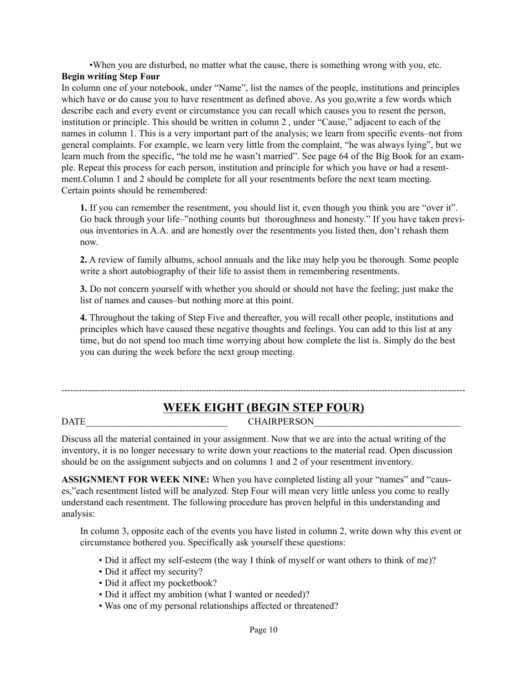•When you are disturbed, no matter what the cause, there is something wrong with you, etc.

# **Begin writing Step Four**

In column one of your notebook, under "Name", list the names of the people, institutions and principles which have or do cause you to have resentment as defined above. As you go,write a few words which describe each and every event or circumstance you can recall which causes you to resent the person, institution or principle. This should be written in column 2 , under "Cause," adjacent to each of the names in column 1. This is a very important part of the analysis; we learn from specific events–not from general complaints. For example, we learn very little from the complaint, "he was always lying", but we learn much from the specific, "he told me he wasn't married". See page 64 of the Big Book for an example. Repeat this process for each person, institution and principle for which you have or had a resentment.Column 1 and 2 should be complete for all your resentments before the next team meeting. Certain points should be remembered:

**1.** If you can remember the resentment, you should list it, even though you think you are "over it". Go back through your life–"nothing counts but thoroughness and honesty." If you have taken previous inventories in A.A. and are honestly over the resentments you listed then, don't rehash them now.

**2.** A review of family albums, school annuals and the like may help you be thorough. Some people write a short autobiography of their life to assist them in remembering resentments.

**3.** Do not concern yourself with whether you should or should not have the feeling; just make the list of names and causes–but nothing more at this point.

**4.** Throughout the taking of Step Five and thereafter, you will recall other people, institutions and principles which have caused these negative thoughts and feelings. You can add to this list at any time, but do not spend too much time worrying about how complete the list is. Simply do the best you can during the week before the next group meeting.

# -------------------------------------------------------------------------------------------------------------------------------------------- **WEEK EIGHT (BEGIN STEP FOUR)**

# DATE CHAIRPERSON

Discuss all the material contained in your assignment. Now that we are into the actual writing of the inventory, it is no longer necessary to write down your reactions to the material read. Open discussion should be on the assignment subjects and on columns 1 and 2 of your resentment inventory.

**ASSIGNMENT FOR WEEK NINE:** When you have completed listing all your "names" and "causes,"each resentment listed will be analyzed. Step Four will mean very little unless you come to really understand each resentment. The following procedure has proven helpful in this understanding and analysis:

In column 3, opposite each of the events you have listed in column 2, write down why this event or circumstance bothered you. Specifically ask yourself these questions:

- Did it affect my self-esteem (the way I think of myself or want others to think of me)?
- Did it affect my security?
- Did it affect my pocketbook?
- Did it affect my ambition (what I wanted or needed)?
- Was one of my personal relationships affected or threatened?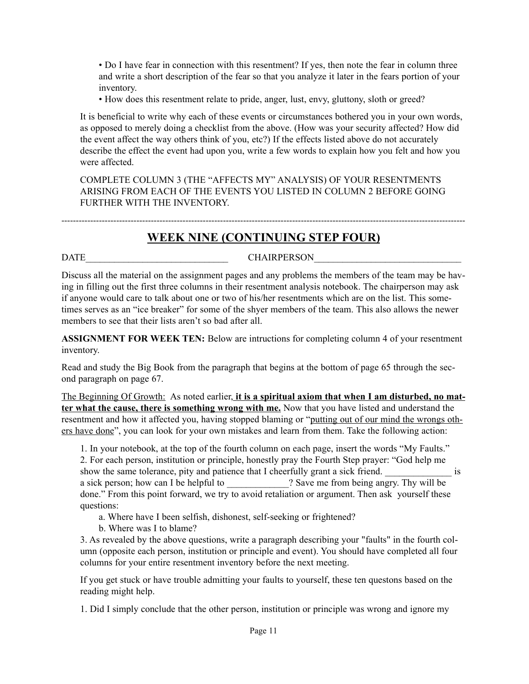• Do I have fear in connection with this resentment? If yes, then note the fear in column three and write a short description of the fear so that you analyze it later in the fears portion of your inventory.

• How does this resentment relate to pride, anger, lust, envy, gluttony, sloth or greed?

It is beneficial to write why each of these events or circumstances bothered you in your own words, as opposed to merely doing a checklist from the above. (How was your security affected? How did the event affect the way others think of you, etc?) If the effects listed above do not accurately describe the effect the event had upon you, write a few words to explain how you felt and how you were affected.

COMPLETE COLUMN 3 (THE "AFFECTS MY" ANALYSIS) OF YOUR RESENTMENTS ARISING FROM EACH OF THE EVENTS YOU LISTED IN COLUMN 2 BEFORE GOING FURTHER WITH THE INVENTORY.

--------------------------------------------------------------------------------------------------------------------------------------------

### **WEEK NINE (CONTINUING STEP FOUR)**

DATE CHAIRPERSON

Discuss all the material on the assignment pages and any problems the members of the team may be having in filling out the first three columns in their resentment analysis notebook. The chairperson may ask if anyone would care to talk about one or two of his/her resentments which are on the list. This sometimes serves as an "ice breaker" for some of the shyer members of the team. This also allows the newer members to see that their lists aren't so bad after all.

**ASSIGNMENT FOR WEEK TEN:** Below are intructions for completing column 4 of your resentment inventory.

Read and study the Big Book from the paragraph that begins at the bottom of page 65 through the second paragraph on page 67.

The Beginning Of Growth: As noted earlier, **it is a spiritual axiom that when I am disturbed, no matter what the cause, there is something wrong with me.** Now that you have listed and understand the resentment and how it affected you, having stopped blaming or "putting out of our mind the wrongs others have done", you can look for your own mistakes and learn from them. Take the following action:

1. In your notebook, at the top of the fourth column on each page, insert the words "My Faults."

2. For each person, institution or principle, honestly pray the Fourth Step prayer: "God help me show the same tolerance, pity and patience that I cheerfully grant a sick friend.  $\blacksquare$ a sick person; how can I be helpful to  $\cdot$  ? Save me from being angry. Thy will be done." From this point forward, we try to avoid retaliation or argument. Then ask yourself these questions:

a. Where have I been selfish, dishonest, self-seeking or frightened?

b. Where was I to blame?

3. As revealed by the above questions, write a paragraph describing your "faults" in the fourth column (opposite each person, institution or principle and event). You should have completed all four columns for your entire resentment inventory before the next meeting.

If you get stuck or have trouble admitting your faults to yourself, these ten questons based on the reading might help.

1. Did I simply conclude that the other person, institution or principle was wrong and ignore my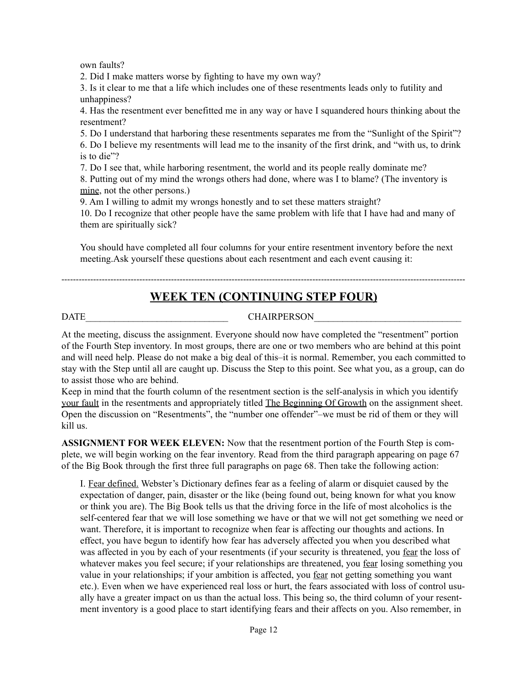own faults?

2. Did I make matters worse by fighting to have my own way?

3. Is it clear to me that a life which includes one of these resentments leads only to futility and unhappiness?

4. Has the resentment ever benefitted me in any way or have I squandered hours thinking about the resentment?

5. Do I understand that harboring these resentments separates me from the "Sunlight of the Spirit"? 6. Do I believe my resentments will lead me to the insanity of the first drink, and "with us, to drink is to die"?

7. Do I see that, while harboring resentment, the world and its people really dominate me?

8. Putting out of my mind the wrongs others had done, where was I to blame? (The inventory is mine, not the other persons.)

9. Am I willing to admit my wrongs honestly and to set these matters straight?

10. Do I recognize that other people have the same problem with life that I have had and many of them are spiritually sick?

You should have completed all four columns for your entire resentment inventory before the next meeting.Ask yourself these questions about each resentment and each event causing it:

--------------------------------------------------------------------------------------------------------------------------------------------

# **WEEK TEN (CONTINUING STEP FOUR)**

DATE GENERAL CHAIRPERSON

At the meeting, discuss the assignment. Everyone should now have completed the "resentment" portion of the Fourth Step inventory. In most groups, there are one or two members who are behind at this point and will need help. Please do not make a big deal of this–it is normal. Remember, you each committed to stay with the Step until all are caught up. Discuss the Step to this point. See what you, as a group, can do to assist those who are behind.

Keep in mind that the fourth column of the resentment section is the self-analysis in which you identify your fault in the resentments and appropriately titled The Beginning Of Growth on the assignment sheet. Open the discussion on "Resentments", the "number one offender"–we must be rid of them or they will kill us.

**ASSIGNMENT FOR WEEK ELEVEN:** Now that the resentment portion of the Fourth Step is complete, we will begin working on the fear inventory. Read from the third paragraph appearing on page 67 of the Big Book through the first three full paragraphs on page 68. Then take the following action:

I. Fear defined. Webster's Dictionary defines fear as a feeling of alarm or disquiet caused by the expectation of danger, pain, disaster or the like (being found out, being known for what you know or think you are). The Big Book tells us that the driving force in the life of most alcoholics is the self-centered fear that we will lose something we have or that we will not get something we need or want. Therefore, it is important to recognize when fear is affecting our thoughts and actions. In effect, you have begun to identify how fear has adversely affected you when you described what was affected in you by each of your resentments (if your security is threatened, you fear the loss of whatever makes you feel secure; if your relationships are threatened, you fear losing something you value in your relationships; if your ambition is affected, you fear not getting something you want etc.). Even when we have experienced real loss or hurt, the fears associated with loss of control usually have a greater impact on us than the actual loss. This being so, the third column of your resentment inventory is a good place to start identifying fears and their affects on you. Also remember, in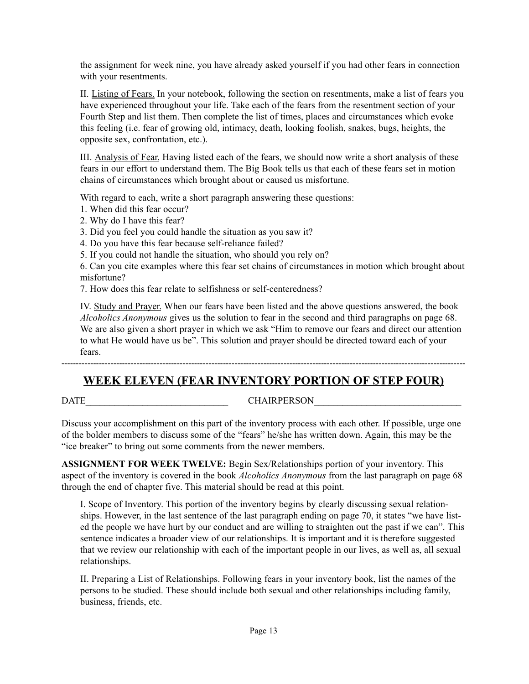the assignment for week nine, you have already asked yourself if you had other fears in connection with your resentments.

II. Listing of Fears. In your notebook, following the section on resentments, make a list of fears you have experienced throughout your life. Take each of the fears from the resentment section of your Fourth Step and list them. Then complete the list of times, places and circumstances which evoke this feeling (i.e. fear of growing old, intimacy, death, looking foolish, snakes, bugs, heights, the opposite sex, confrontation, etc.).

III. Analysis of Fear. Having listed each of the fears, we should now write a short analysis of these fears in our effort to understand them. The Big Book tells us that each of these fears set in motion chains of circumstances which brought about or caused us misfortune.

With regard to each, write a short paragraph answering these questions:

- 1. When did this fear occur?
- 2. Why do I have this fear?
- 3. Did you feel you could handle the situation as you saw it?
- 4. Do you have this fear because self-reliance failed?
- 5. If you could not handle the situation, who should you rely on?

6. Can you cite examples where this fear set chains of circumstances in motion which brought about misfortune?

7. How does this fear relate to selfishness or self-centeredness?

IV. Study and Prayer. When our fears have been listed and the above questions answered, the book *Alcoholics Anonymous* gives us the solution to fear in the second and third paragraphs on page 68. We are also given a short prayer in which we ask "Him to remove our fears and direct our attention to what He would have us be". This solution and prayer should be directed toward each of your fears.

# --------------------------------------------------------------------------------------------------------------------------------------------

# **WEEK ELEVEN (FEAR INVENTORY PORTION OF STEP FOUR)**

DATE CHAIRPERSON

Discuss your accomplishment on this part of the inventory process with each other. If possible, urge one of the bolder members to discuss some of the "fears" he/she has written down. Again, this may be the "ice breaker" to bring out some comments from the newer members.

**ASSIGNMENT FOR WEEK TWELVE:** Begin Sex/Relationships portion of your inventory. This aspect of the inventory is covered in the book *Alcoholics Anonymous* from the last paragraph on page 68 through the end of chapter five. This material should be read at this point.

I. Scope of Inventory. This portion of the inventory begins by clearly discussing sexual relationships. However, in the last sentence of the last paragraph ending on page 70, it states "we have listed the people we have hurt by our conduct and are willing to straighten out the past if we can". This sentence indicates a broader view of our relationships. It is important and it is therefore suggested that we review our relationship with each of the important people in our lives, as well as, all sexual relationships.

II. Preparing a List of Relationships. Following fears in your inventory book, list the names of the persons to be studied. These should include both sexual and other relationships including family, business, friends, etc.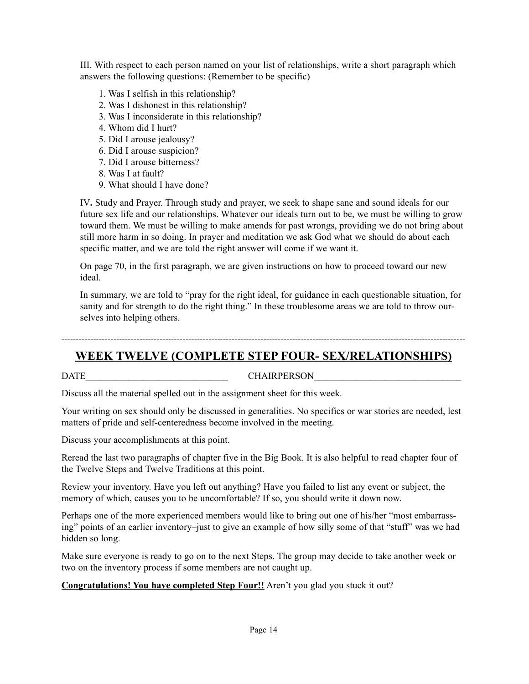III. With respect to each person named on your list of relationships, write a short paragraph which answers the following questions: (Remember to be specific)

- 1. Was I selfish in this relationship?
- 2. Was I dishonest in this relationship?
- 3. Was I inconsiderate in this relationship?
- 4. Whom did I hurt?
- 5. Did I arouse jealousy?
- 6. Did I arouse suspicion?
- 7. Did I arouse bitterness?
- 8. Was I at fault?
- 9. What should I have done?

IV**.** Study and Prayer. Through study and prayer, we seek to shape sane and sound ideals for our future sex life and our relationships. Whatever our ideals turn out to be, we must be willing to grow toward them. We must be willing to make amends for past wrongs, providing we do not bring about still more harm in so doing. In prayer and meditation we ask God what we should do about each specific matter, and we are told the right answer will come if we want it.

On page 70, in the first paragraph, we are given instructions on how to proceed toward our new ideal.

In summary, we are told to "pray for the right ideal, for guidance in each questionable situation, for sanity and for strength to do the right thing." In these troublesome areas we are told to throw ourselves into helping others.

--------------------------------------------------------------------------------------------------------------------------------------------

# **WEEK TWELVE (COMPLETE STEP FOUR- SEX/RELATIONSHIPS)**

#### DATE GHAIRPERSON

Discuss all the material spelled out in the assignment sheet for this week.

Your writing on sex should only be discussed in generalities. No specifics or war stories are needed, lest matters of pride and self-centeredness become involved in the meeting.

Discuss your accomplishments at this point.

Reread the last two paragraphs of chapter five in the Big Book. It is also helpful to read chapter four of the Twelve Steps and Twelve Traditions at this point.

Review your inventory. Have you left out anything? Have you failed to list any event or subject, the memory of which, causes you to be uncomfortable? If so, you should write it down now.

Perhaps one of the more experienced members would like to bring out one of his/her "most embarrassing" points of an earlier inventory–just to give an example of how silly some of that "stuff" was we had hidden so long.

Make sure everyone is ready to go on to the next Steps. The group may decide to take another week or two on the inventory process if some members are not caught up.

**Congratulations! You have completed Step Four!!** Aren't you glad you stuck it out?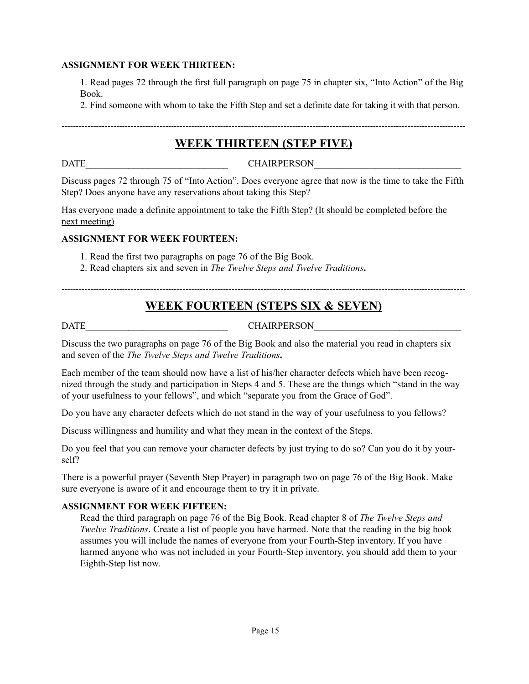#### **ASSIGNMENT FOR WEEK THIRTEEN:**

1. Read pages 72 through the first full paragraph on page 75 in chapter six, "Into Action" of the Big Book.

2. Find someone with whom to take the Fifth Step and set a definite date for taking it with that person.

# -------------------------------------------------------------------------------------------------------------------------------------------- **WEEK THIRTEEN (STEP FIVE)**

DATE\_\_\_\_\_\_\_\_\_\_\_\_\_\_\_\_\_\_\_\_\_\_\_\_\_\_\_\_\_\_ CHAIRPERSON\_\_\_\_\_\_\_\_\_\_\_\_\_\_\_\_\_\_\_\_\_\_\_\_\_\_\_\_\_\_\_

Discuss pages 72 through 75 of "Into Action". Does everyone agree that now is the time to take the Fifth Step? Does anyone have any reservations about taking this Step?

Has everyone made a definite appointment to take the Fifth Step? (It should be completed before the next meeting)

#### **ASSIGNMENT FOR WEEK FOURTEEN:**

- 1. Read the first two paragraphs on page 76 of the Big Book.
- 2. Read chapters six and seven in *The Twelve Steps and Twelve Traditions***.**

--------------------------------------------------------------------------------------------------------------------------------------------

# **WEEK FOURTEEN (STEPS SIX & SEVEN)**

### DATE CHAIRPERSON

Discuss the two paragraphs on page 76 of the Big Book and also the material you read in chapters six and seven of the *The Twelve Steps and Twelve Traditions***.**

Each member of the team should now have a list of his/her character defects which have been recognized through the study and participation in Steps 4 and 5. These are the things which "stand in the way of your usefulness to your fellows", and which "separate you from the Grace of God".

Do you have any character defects which do not stand in the way of your usefulness to you fellows?

Discuss willingness and humility and what they mean in the context of the Steps.

Do you feel that you can remove your character defects by just trying to do so? Can you do it by yourself?

There is a powerful prayer (Seventh Step Prayer) in paragraph two on page 76 of the Big Book. Make sure everyone is aware of it and encourage them to try it in private.

#### **ASSIGNMENT FOR WEEK FIFTEEN:**

Read the third paragraph on page 76 of the Big Book. Read chapter 8 of *The Twelve Steps and Twelve Traditions*. Create a list of people you have harmed. Note that the reading in the big book assumes you will include the names of everyone from your Fourth-Step inventory. If you have harmed anyone who was not included in your Fourth-Step inventory, you should add them to your Eighth-Step list now.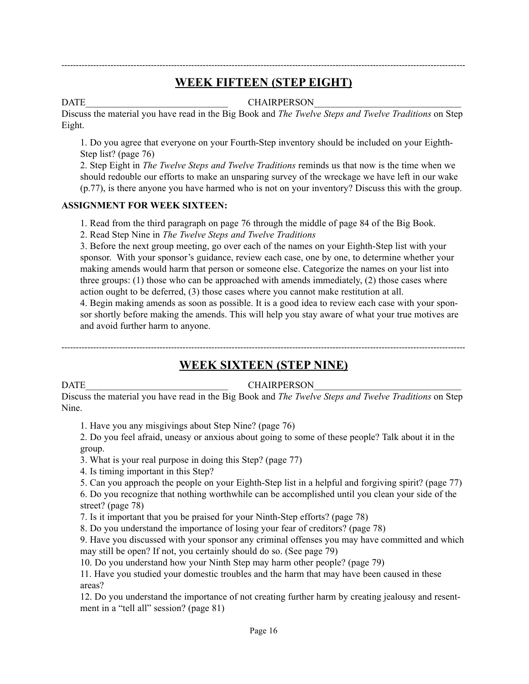# -------------------------------------------------------------------------------------------------------------------------------------------- **WEEK FIFTEEN (STEP EIGHT)**

DATE CHAIRPERSON

Discuss the material you have read in the Big Book and *The Twelve Steps and Twelve Traditions* on Step Eight.

1. Do you agree that everyone on your Fourth-Step inventory should be included on your Eighth-Step list? (page 76)

2. Step Eight in *The Twelve Steps and Twelve Traditions* reminds us that now is the time when we should redouble our efforts to make an unsparing survey of the wreckage we have left in our wake (p.77), is there anyone you have harmed who is not on your inventory? Discuss this with the group.

### **ASSIGNMENT FOR WEEK SIXTEEN:**

1. Read from the third paragraph on page 76 through the middle of page 84 of the Big Book.

2. Read Step Nine in *The Twelve Steps and Twelve Traditions*

3. Before the next group meeting, go over each of the names on your Eighth-Step list with your sponsor. With your sponsor's guidance, review each case, one by one, to determine whether your making amends would harm that person or someone else. Categorize the names on your list into three groups: (1) those who can be approached with amends immediately, (2) those cases where action ought to be deferred, (3) those cases where you cannot make restitution at all.

4. Begin making amends as soon as possible. It is a good idea to review each case with your sponsor shortly before making the amends. This will help you stay aware of what your true motives are and avoid further harm to anyone.

--------------------------------------------------------------------------------------------------------------------------------------------

# **WEEK SIXTEEN (STEP NINE)**

### DATE CHAIRPERSON

Discuss the material you have read in the Big Book and *The Twelve Steps and Twelve Traditions* on Step Nine.

1. Have you any misgivings about Step Nine? (page 76)

2. Do you feel afraid, uneasy or anxious about going to some of these people? Talk about it in the group.

3. What is your real purpose in doing this Step? (page 77)

4. Is timing important in this Step?

5. Can you approach the people on your Eighth-Step list in a helpful and forgiving spirit? (page 77)

6. Do you recognize that nothing worthwhile can be accomplished until you clean your side of the street? (page 78)

7. Is it important that you be praised for your Ninth-Step efforts? (page 78)

8. Do you understand the importance of losing your fear of creditors? (page 78)

9. Have you discussed with your sponsor any criminal offenses you may have committed and which may still be open? If not, you certainly should do so. (See page 79)

10. Do you understand how your Ninth Step may harm other people? (page 79)

11. Have you studied your domestic troubles and the harm that may have been caused in these areas?

12. Do you understand the importance of not creating further harm by creating jealousy and resentment in a "tell all" session? (page 81)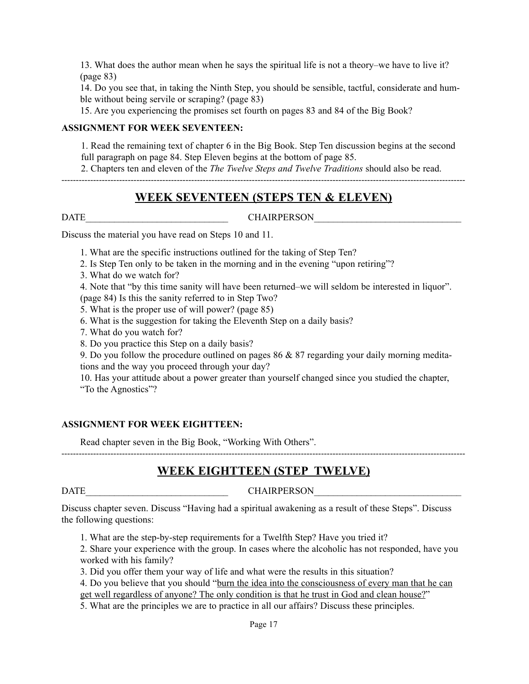13. What does the author mean when he says the spiritual life is not a theory–we have to live it? (page 83)

14. Do you see that, in taking the Ninth Step, you should be sensible, tactful, considerate and humble without being servile or scraping? (page 83)

15. Are you experiencing the promises set fourth on pages 83 and 84 of the Big Book?

#### **ASSIGNMENT FOR WEEK SEVENTEEN:**

1. Read the remaining text of chapter 6 in the Big Book. Step Ten discussion begins at the second full paragraph on page 84. Step Eleven begins at the bottom of page 85.

2. Chapters ten and eleven of the *The Twelve Steps and Twelve Traditions* should also be read.

--------------------------------------------------------------------------------------------------------------------------------------------

### **WEEK SEVENTEEN (STEPS TEN & ELEVEN)**

DATE CHAIRPERSON

Discuss the material you have read on Steps 10 and 11.

1. What are the specific instructions outlined for the taking of Step Ten?

2. Is Step Ten only to be taken in the morning and in the evening "upon retiring"?

3. What do we watch for?

4. Note that "by this time sanity will have been returned–we will seldom be interested in liquor".

(page 84) Is this the sanity referred to in Step Two?

5. What is the proper use of will power? (page 85)

6. What is the suggestion for taking the Eleventh Step on a daily basis?

7. What do you watch for?

8. Do you practice this Step on a daily basis?

9. Do you follow the procedure outlined on pages 86 & 87 regarding your daily morning meditations and the way you proceed through your day?

10. Has your attitude about a power greater than yourself changed since you studied the chapter, "To the Agnostics"?

#### **ASSIGNMENT FOR WEEK EIGHTTEEN:**

Read chapter seven in the Big Book, "Working With Others".

# **WEEK EIGHTTEEN (STEP TWELVE)**

--------------------------------------------------------------------------------------------------------------------------------------------

DATE CHAIRPERSON

Discuss chapter seven. Discuss "Having had a spiritual awakening as a result of these Steps". Discuss the following questions:

1. What are the step-by-step requirements for a Twelfth Step? Have you tried it?

2. Share your experience with the group. In cases where the alcoholic has not responded, have you worked with his family?

3. Did you offer them your way of life and what were the results in this situation?

4. Do you believe that you should "burn the idea into the consciousness of every man that he can get well regardless of anyone? The only condition is that he trust in God and clean house?"

5. What are the principles we are to practice in all our affairs? Discuss these principles.